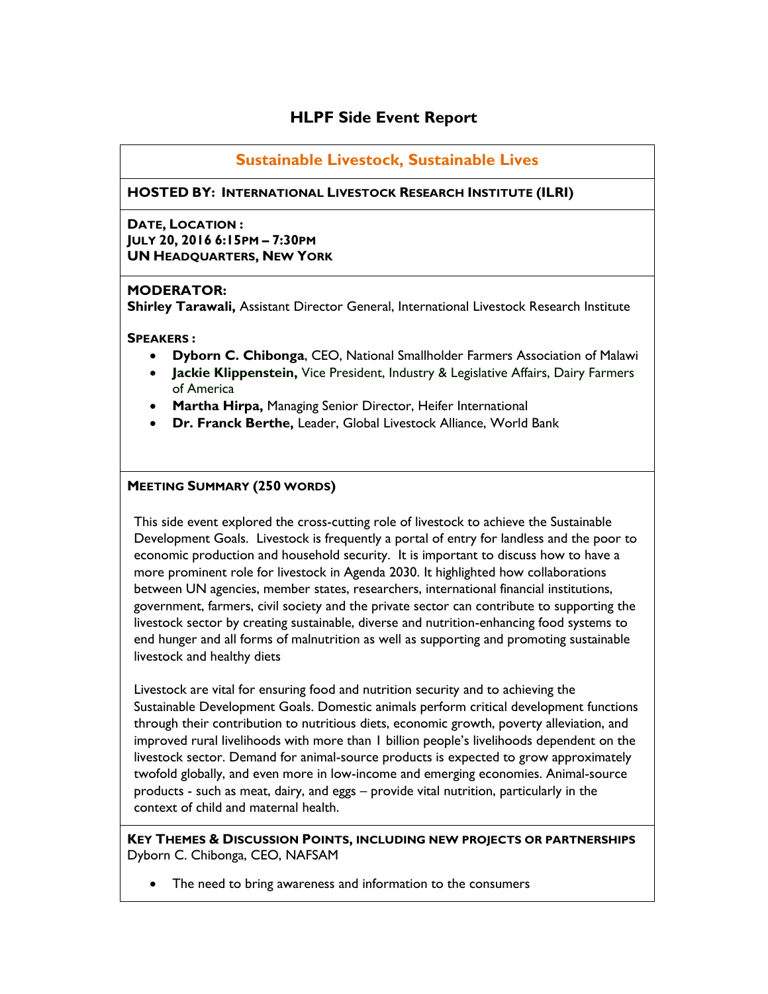# **HLPF Side Event Report**

# **Sustainable Livestock, Sustainable Lives**

## **HOSTED BY: INTERNATIONAL LIVESTOCK RESEARCH INSTITUTE (ILRI)**

**DATE, LOCATION : JULY 20, 2016 6:15PM – 7:30PM UN HEADQUARTERS, NEW YORK**

### **MODERATOR:**

**Shirley Tarawali,** Assistant Director General, International Livestock Research Institute

### **SPEAKERS :**

- **Dyborn C. Chibonga**, CEO, National Smallholder Farmers Association of Malawi
- **Jackie Klippenstein,** Vice President, Industry & Legislative Affairs, Dairy Farmers of America
- **Martha Hirpa,** Managing Senior Director, Heifer International
- **Dr. Franck Berthe,** Leader, Global Livestock Alliance, World Bank

## **MEETING SUMMARY (250 WORDS)**

This side event explored the cross-cutting role of livestock to achieve the Sustainable Development Goals. Livestock is frequently a portal of entry for landless and the poor to economic production and household security. It is important to discuss how to have a more prominent role for livestock in Agenda 2030. It highlighted how collaborations between UN agencies, member states, researchers, international financial institutions, government, farmers, civil society and the private sector can contribute to supporting the livestock sector by creating sustainable, diverse and nutrition-enhancing food systems to end hunger and all forms of malnutrition as well as supporting and promoting sustainable livestock and healthy diets

Livestock are vital for ensuring food and nutrition security and to achieving the Sustainable Development Goals. Domestic animals perform critical development functions through their contribution to nutritious diets, economic growth, poverty alleviation, and improved rural livelihoods with more than 1 billion people's livelihoods dependent on the livestock sector. Demand for animal-source products is expected to grow approximately twofold globally, and even more in low-income and emerging economies. Animal-source products - such as meat, dairy, and eggs – provide vital nutrition, particularly in the context of child and maternal health.

**KEY THEMES & DISCUSSION POINTS, INCLUDING NEW PROJECTS OR PARTNERSHIPS**  Dyborn C. Chibonga, CEO, NAFSAM

The need to bring awareness and information to the consumers